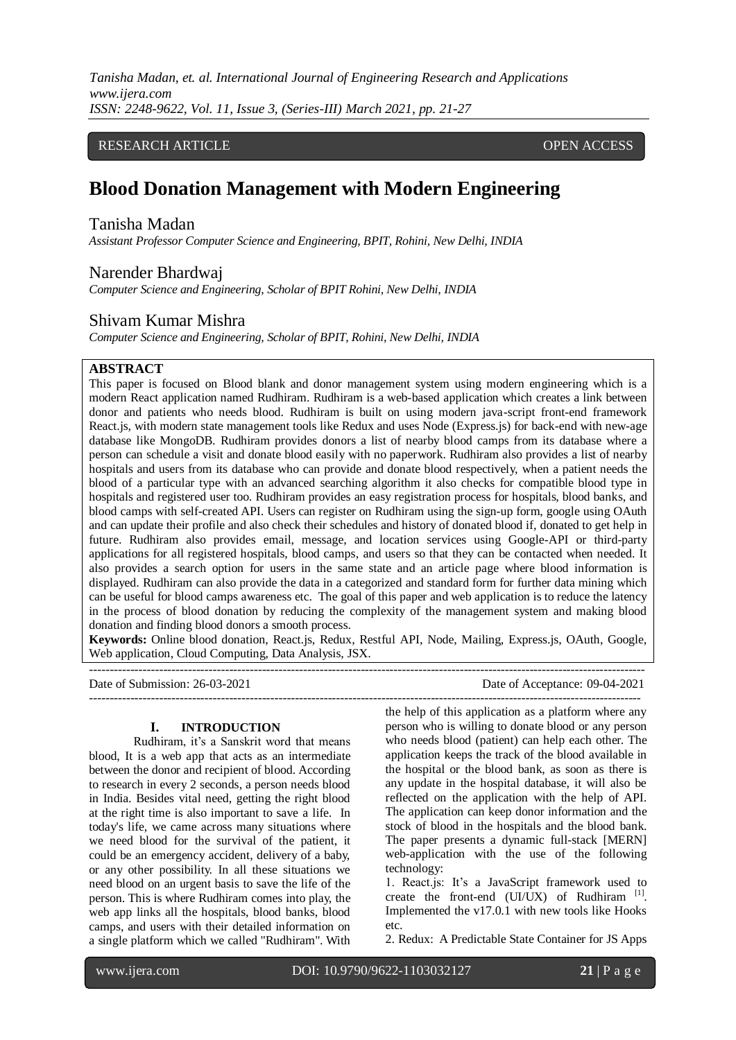# RESEARCH ARTICLE **CONTRACT ARTICLE**

# **Blood Donation Management with Modern Engineering**

# Tanisha Madan

*Assistant Professor Computer Science and Engineering, BPIT, Rohini, New Delhi, INDIA*

# Narender Bhardwaj

*Computer Science and Engineering, Scholar of BPIT Rohini, New Delhi, INDIA*

## Shivam Kumar Mishra

*Computer Science and Engineering, Scholar of BPIT, Rohini, New Delhi, INDIA*

# **ABSTRACT**

This paper is focused on Blood blank and donor management system using modern engineering which is a modern React application named Rudhiram. Rudhiram is a web-based application which creates a link between donor and patients who needs blood. Rudhiram is built on using modern java-script front-end framework React.js, with modern state management tools like Redux and uses Node (Express.js) for back-end with new-age database like MongoDB. Rudhiram provides donors a list of nearby blood camps from its database where a person can schedule a visit and donate blood easily with no paperwork. Rudhiram also provides a list of nearby hospitals and users from its database who can provide and donate blood respectively, when a patient needs the blood of a particular type with an advanced searching algorithm it also checks for compatible blood type in hospitals and registered user too. Rudhiram provides an easy registration process for hospitals, blood banks, and blood camps with self-created API. Users can register on Rudhiram using the sign-up form, google using OAuth and can update their profile and also check their schedules and history of donated blood if, donated to get help in future. Rudhiram also provides email, message, and location services using Google-API or third-party applications for all registered hospitals, blood camps, and users so that they can be contacted when needed. It also provides a search option for users in the same state and an article page where blood information is displayed. Rudhiram can also provide the data in a categorized and standard form for further data mining which can be useful for blood camps awareness etc. The goal of this paper and web application is to reduce the latency in the process of blood donation by reducing the complexity of the management system and making blood donation and finding blood donors a smooth process.

**Keywords:** Online blood donation, React.js, Redux, Restful API, Node, Mailing, Express.js, OAuth, Google, Web application, Cloud Computing, Data Analysis, JSX. ---------------------------------------------------------------------------------------------------------------------------------------

Date of Submission: 26-03-2021 Date of Acceptance: 09-04-2021

## **I. INTRODUCTION**

Rudhiram, it's a Sanskrit word that means blood, It is a web app that acts as an intermediate between the donor and recipient of blood. According to research in every 2 seconds, a person needs blood in India. Besides vital need, getting the right blood at the right time is also important to save a life. In today's life, we came across many situations where we need blood for the survival of the patient, it could be an emergency accident, delivery of a baby, or any other possibility. In all these situations we need blood on an urgent basis to save the life of the person. This is where Rudhiram comes into play, the web app links all the hospitals, blood banks, blood camps, and users with their detailed information on a single platform which we called "Rudhiram". With

the help of this application as a platform where any person who is willing to donate blood or any person who needs blood (patient) can help each other. The application keeps the track of the blood available in the hospital or the blood bank, as soon as there is any update in the hospital database, it will also be reflected on the application with the help of API. The application can keep donor information and the stock of blood in the hospitals and the blood bank. The paper presents a dynamic full-stack [MERN] web-application with the use of the following technology:

--------------------------------------------------------------------------------------------------------------------------------------

1. React.js: It's a JavaScript framework used to create the front-end  $(UI/UX)$  of Rudhiram  $[1]$ . Implemented the v17.0.1 with new tools like Hooks etc.

2. Redux: A Predictable State Container for JS Apps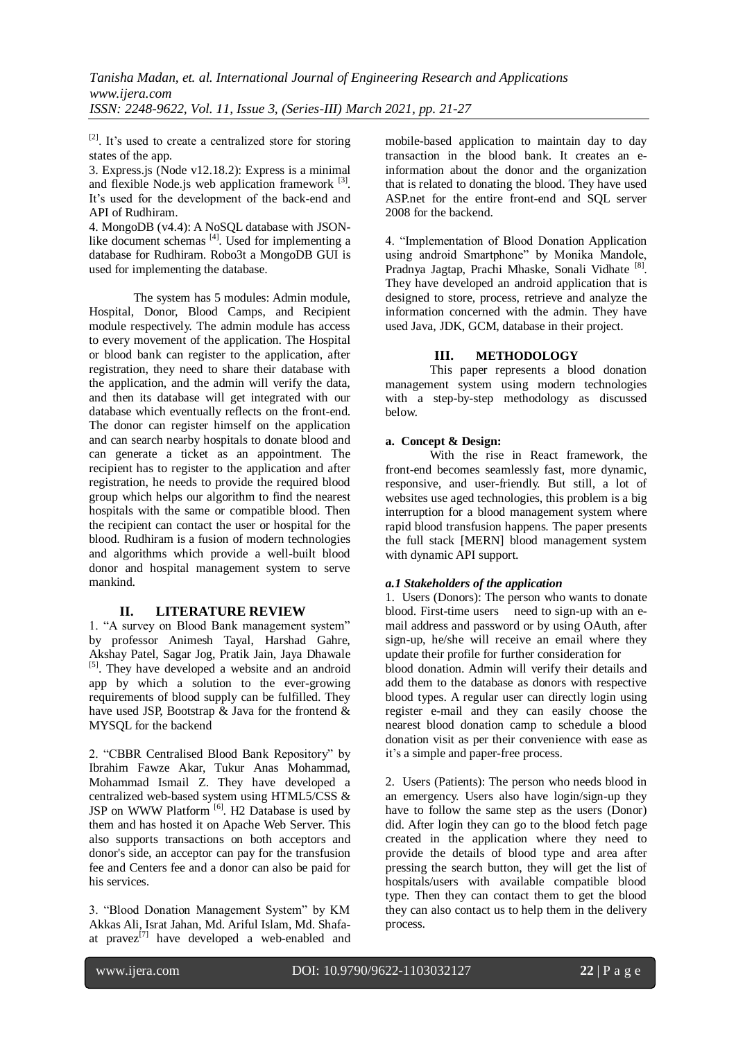$[2]$ . It's used to create a centralized store for storing states of the app.

3. Express.js (Node v12.18.2): Express is a minimal and flexible Node.js web application framework <sup>[3]</sup>. It's used for the development of the back-end and API of Rudhiram.

4. MongoDB (v4.4): A NoSQL database with JSONlike document schemas  $[4]$ . Used for implementing a database for Rudhiram. Robo3t a MongoDB GUI is used for implementing the database.

The system has 5 modules: Admin module, Hospital, Donor, Blood Camps, and Recipient module respectively. The admin module has access to every movement of the application. The Hospital or blood bank can register to the application, after registration, they need to share their database with the application, and the admin will verify the data, and then its database will get integrated with our database which eventually reflects on the front-end. The donor can register himself on the application and can search nearby hospitals to donate blood and can generate a ticket as an appointment. The recipient has to register to the application and after registration, he needs to provide the required blood group which helps our algorithm to find the nearest hospitals with the same or compatible blood. Then the recipient can contact the user or hospital for the blood. Rudhiram is a fusion of modern technologies and algorithms which provide a well-built blood donor and hospital management system to serve mankind.

## **II. LITERATURE REVIEW**

1. "A survey on Blood Bank management system" by professor Animesh Tayal, Harshad Gahre, Akshay Patel, Sagar Jog, Pratik Jain, Jaya Dhawale [5]. They have developed a website and an android app by which a solution to the ever-growing requirements of blood supply can be fulfilled. They have used JSP, Bootstrap & Java for the frontend  $\&$ MYSQL for the backend

2. "CBBR Centralised Blood Bank Repository" by Ibrahim Fawze Akar, Tukur Anas Mohammad, Mohammad Ismail Z. They have developed a centralized web-based system using HTML5/CSS & JSP on WWW Platform  $^{[6]}$ . H2 Database is used by them and has hosted it on Apache Web Server. This also supports transactions on both acceptors and donor's side, an acceptor can pay for the transfusion fee and Centers fee and a donor can also be paid for his services.

3. "Blood Donation Management System" by KM Akkas Ali, Israt Jahan, Md. Ariful Islam, Md. Shafaat pravez $[7]$  have developed a web-enabled and mobile-based application to maintain day to day transaction in the blood bank. It creates an einformation about the donor and the organization that is related to donating the blood. They have used ASP.net for the entire front-end and SQL server 2008 for the backend.

4. "Implementation of Blood Donation Application using android Smartphone" by Monika Mandole, Pradnya Jagtap, Prachi Mhaske, Sonali Vidhate<sup>[8]</sup>. They have developed an android application that is designed to store, process, retrieve and analyze the information concerned with the admin. They have used Java, JDK, GCM, database in their project.

# **III. METHODOLOGY**

This paper represents a blood donation management system using modern technologies with a step-by-step methodology as discussed below.

## **a. Concept & Design:**

With the rise in React framework, the front-end becomes seamlessly fast, more dynamic, responsive, and user-friendly. But still, a lot of websites use aged technologies, this problem is a big interruption for a blood management system where rapid blood transfusion happens. The paper presents the full stack [MERN] blood management system with dynamic API support.

## *a.1 Stakeholders of the application*

1. Users (Donors): The person who wants to donate blood. First-time users need to sign-up with an email address and password or by using OAuth, after sign-up, he/she will receive an email where they update their profile for further consideration for blood donation. Admin will verify their details and add them to the database as donors with respective blood types. A regular user can directly login using register e-mail and they can easily choose the nearest blood donation camp to schedule a blood donation visit as per their convenience with ease as it's a simple and paper-free process.

2. Users (Patients): The person who needs blood in an emergency. Users also have login/sign-up they have to follow the same step as the users (Donor) did. After login they can go to the blood fetch page created in the application where they need to provide the details of blood type and area after pressing the search button, they will get the list of hospitals/users with available compatible blood type. Then they can contact them to get the blood they can also contact us to help them in the delivery process.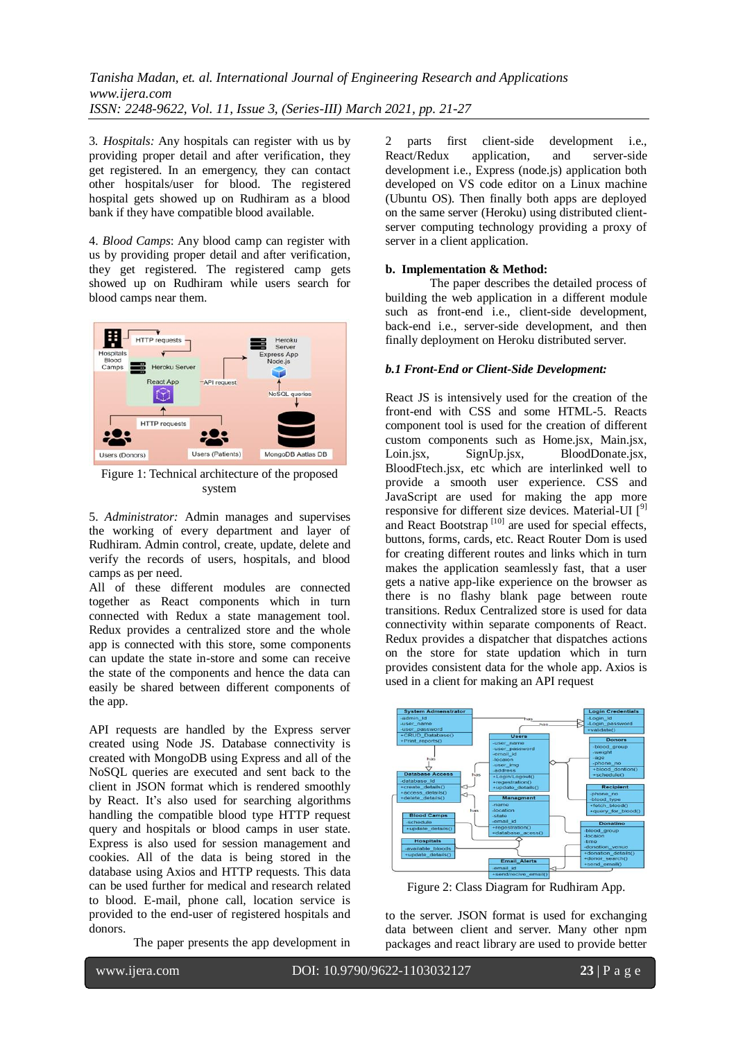3*. Hospitals:* Any hospitals can register with us by providing proper detail and after verification, they get registered. In an emergency, they can contact other hospitals/user for blood. The registered hospital gets showed up on Rudhiram as a blood bank if they have compatible blood available.

4. *Blood Camps*: Any blood camp can register with us by providing proper detail and after verification, they get registered. The registered camp gets showed up on Rudhiram while users search for blood camps near them.



Figure 1: Technical architecture of the proposed system

5. *Administrator:* Admin manages and supervises the working of every department and layer of Rudhiram. Admin control, create, update, delete and verify the records of users, hospitals, and blood camps as per need.

All of these different modules are connected together as React components which in turn connected with Redux a state management tool. Redux provides a centralized store and the whole app is connected with this store, some components can update the state in-store and some can receive the state of the components and hence the data can easily be shared between different components of the app.

API requests are handled by the Express server created using Node JS. Database connectivity is created with MongoDB using Express and all of the NoSQL queries are executed and sent back to the client in JSON format which is rendered smoothly by React. It's also used for searching algorithms handling the compatible blood type HTTP request query and hospitals or blood camps in user state. Express is also used for session management and cookies. All of the data is being stored in the database using Axios and HTTP requests. This data can be used further for medical and research related to blood. E-mail, phone call, location service is provided to the end-user of registered hospitals and donors.

The paper presents the app development in

2 parts first client-side development i.e., React/Redux application, and server-side development i.e., Express (node.js) application both developed on VS code editor on a Linux machine (Ubuntu OS). Then finally both apps are deployed on the same server (Heroku) using distributed clientserver computing technology providing a proxy of server in a client application.

## **b. Implementation & Method:**

The paper describes the detailed process of building the web application in a different module such as front-end i.e., client-side development, back-end i.e., server-side development, and then finally deployment on Heroku distributed server.

#### *b.1 Front-End or Client-Side Development:*

React JS is intensively used for the creation of the front-end with CSS and some HTML-5. Reacts component tool is used for the creation of different custom components such as Home.jsx, Main.jsx, Loin.jsx, SignUp.jsx, BloodDonate.jsx, BloodFtech.jsx, etc which are interlinked well to provide a smooth user experience. CSS and JavaScript are used for making the app more responsive for different size devices. Material-UI  $[9]$ and React Bootstrap  $[10]$  are used for special effects, buttons, forms, cards, etc. React Router Dom is used for creating different routes and links which in turn makes the application seamlessly fast, that a user gets a native app-like experience on the browser as there is no flashy blank page between route transitions. Redux Centralized store is used for data connectivity within separate components of React. Redux provides a dispatcher that dispatches actions on the store for state updation which in turn provides consistent data for the whole app. Axios is used in a client for making an API request



Figure 2: Class Diagram for Rudhiram App.

to the server. JSON format is used for exchanging data between client and server. Many other npm packages and react library are used to provide better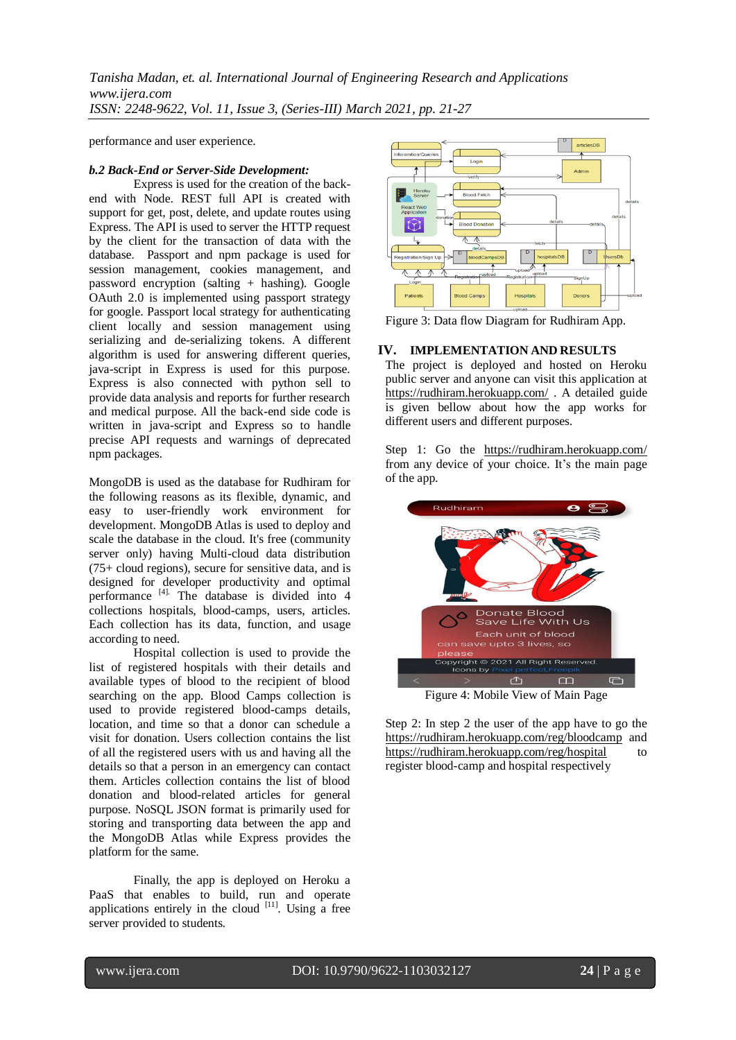performance and user experience.

### *b.2 Back-End or Server-Side Development:*

Express is used for the creation of the backend with Node. REST full API is created with support for get, post, delete, and update routes using Express. The API is used to server the HTTP request by the client for the transaction of data with the database. Passport and npm package is used for session management, cookies management, and password encryption (salting + hashing). Google OAuth 2.0 is implemented using passport strategy for google. Passport local strategy for authenticating client locally and session management using serializing and de-serializing tokens. A different algorithm is used for answering different queries, java-script in Express is used for this purpose. Express is also connected with python sell to provide data analysis and reports for further research and medical purpose. All the back-end side code is written in java-script and Express so to handle precise API requests and warnings of deprecated npm packages.

MongoDB is used as the database for Rudhiram for the following reasons as its flexible, dynamic, and easy to user-friendly work environment for development. MongoDB Atlas is used to deploy and scale the database in the cloud. It's free (community server only) having Multi-cloud data distribution (75+ cloud regions), secure for sensitive data, and is designed for developer productivity and optimal performance [4]. The database is divided into 4 collections hospitals, blood-camps, users, articles. Each collection has its data, function, and usage according to need.

Hospital collection is used to provide the list of registered hospitals with their details and available types of blood to the recipient of blood searching on the app. Blood Camps collection is used to provide registered blood-camps details, location, and time so that a donor can schedule a visit for donation. Users collection contains the list of all the registered users with us and having all the details so that a person in an emergency can contact them. Articles collection contains the list of blood donation and blood-related articles for general purpose. NoSQL JSON format is primarily used for storing and transporting data between the app and the MongoDB Atlas while Express provides the platform for the same.

Finally, the app is deployed on Heroku a PaaS that enables to build, run and operate applications entirely in the cloud  $[11]$ . Using a free server provided to students.



Figure 3: Data flow Diagram for Rudhiram App.

## **IV. IMPLEMENTATION AND RESULTS**

The project is deployed and hosted on Heroku public server and anyone can visit this application at <https://rudhiram.herokuapp.com/> . A detailed guide is given bellow about how the app works for different users and different purposes.

Step 1: Go the <https://rudhiram.herokuapp.com/> from any device of your choice. It's the main page of the app.



Step 2: In step 2 the user of the app have to go the <https://rudhiram.herokuapp.com/reg/bloodcamp> and <https://rudhiram.herokuapp.com/reg/hospital> to register blood-camp and hospital respectively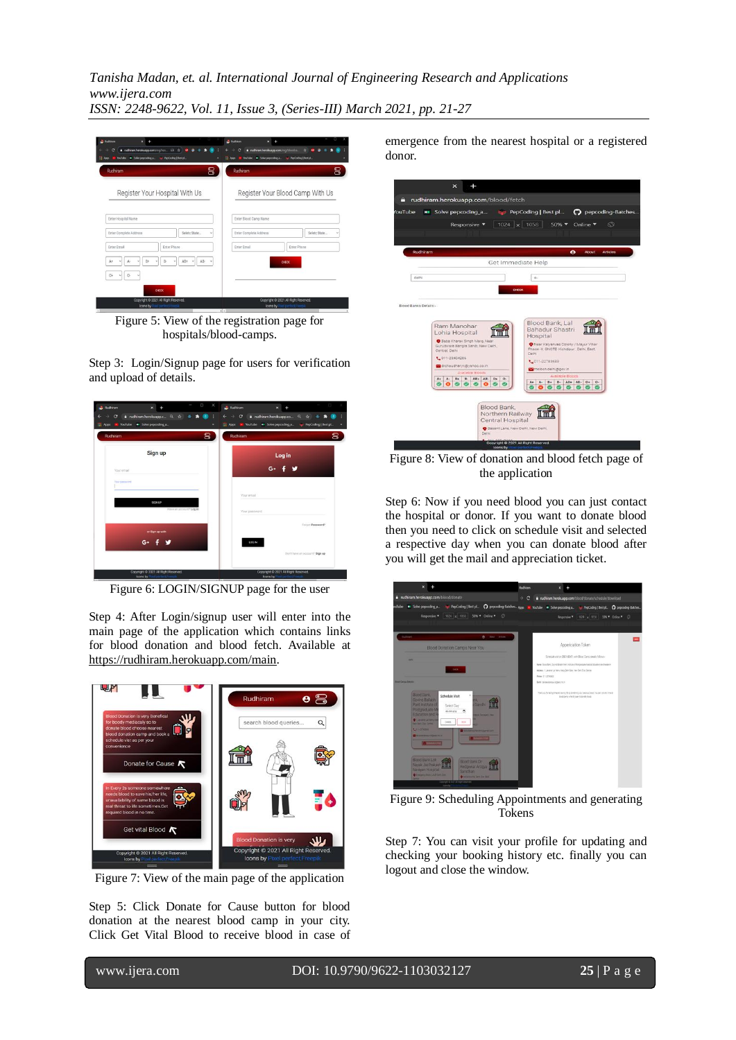$\mathbf{R}$ Register Your Blood Camp With Us Register Your Hospital With Us Enter Hospital Name Enter Enter Complete Seletc State... Enter Phone Enter Email  $\begin{array}{|c|c|c|c|c|c|} \hline 0+&\smallsmile&\smallskip\end{array}$ 

Figure 5: View of the registration page for hospitals/blood-camps.

Step 3: Login/Signup page for users for verification and upload of details.



Figure 6: LOGIN/SIGNUP page for the user

Step 4: After Login/signup user will enter into the main page of the application which contains links for blood donation and blood fetch. Available at [https://rudhiram.herokuapp.com/main.](https://rudhiram.herokuapp.com/main)



Figure 7: View of the main page of the application

Step 5: Click Donate for Cause button for blood donation at the nearest blood camp in your city. Click Get Vital Blood to receive blood in case of emergence from the nearest hospital or a registered donor.



Figure 8: View of donation and blood fetch page of the application

Step 6: Now if you need blood you can just contact the hospital or donor. If you want to donate blood then you need to click on schedule visit and selected a respective day when you can donate blood after you will get the mail and appreciation ticket.



Figure 9: Scheduling Appointments and generating Tokens

Step 7: You can visit your profile for updating and checking your booking history etc. finally you can logout and close the window.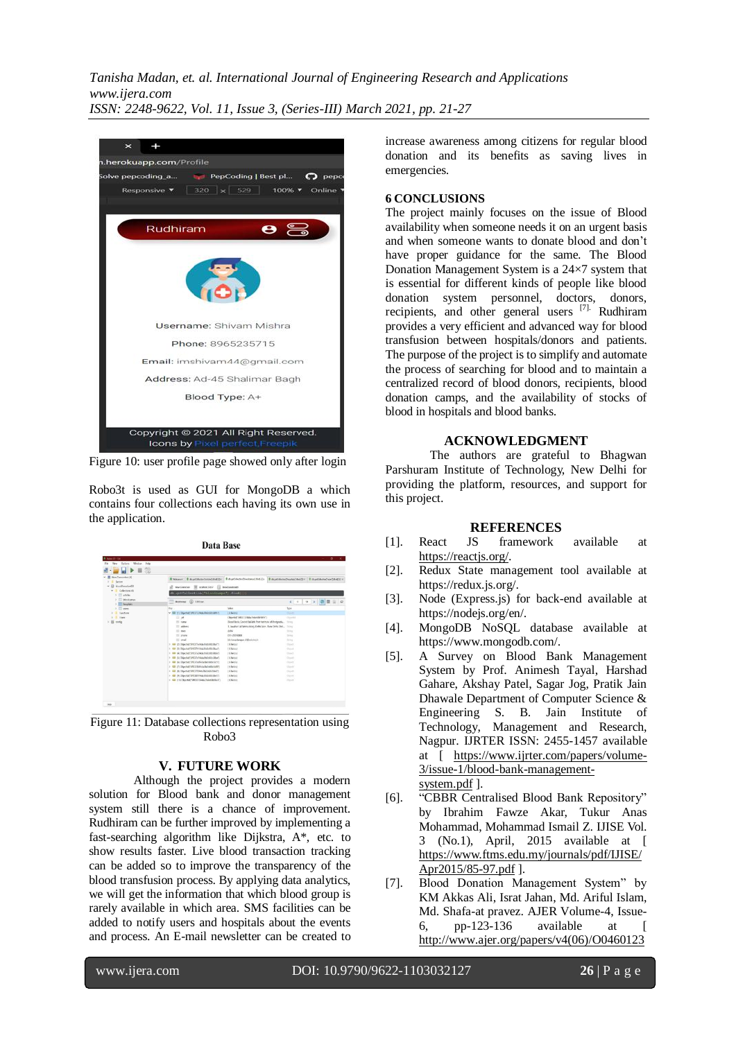

Figure 10: user profile page showed only after login

Robo3t is used as GUI for MongoDB a which contains four collections each having its own use in the application.



Figure 11: Database collections representation using Robo3

## **V. FUTURE WORK**

Although the project provides a modern solution for Blood bank and donor management system still there is a chance of improvement. Rudhiram can be further improved by implementing a fast-searching algorithm like Dijkstra, A\*, etc. to show results faster. Live blood transaction tracking can be added so to improve the transparency of the blood transfusion process. By applying data analytics, we will get the information that which blood group is rarely available in which area. SMS facilities can be added to notify users and hospitals about the events and process. An E-mail newsletter can be created to increase awareness among citizens for regular blood donation and its benefits as saving lives in emergencies.

## **6 CONCLUSIONS**

The project mainly focuses on the issue of Blood availability when someone needs it on an urgent basis and when someone wants to donate blood and don't have proper guidance for the same. The Blood Donation Management System is a 24×7 system that is essential for different kinds of people like blood donation system personnel, doctors, donors, recipients, and other general users [7]. Rudhiram provides a very efficient and advanced way for blood transfusion between hospitals/donors and patients. The purpose of the project is to simplify and automate the process of searching for blood and to maintain a centralized record of blood donors, recipients, blood donation camps, and the availability of stocks of blood in hospitals and blood banks.

## **ACKNOWLEDGMENT**

The authors are grateful to Bhagwan Parshuram Institute of Technology, New Delhi for providing the platform, resources, and support for this project.

## **REFERENCES**

- [1]. React JS framework available at [https://reactjs.org/.](https://reactjs.org/)
- [2]. Redux State management tool available at https://redux.js.org/.
- [3]. Node (Express.js) for back-end available at https://nodejs.org/en/.
- [4]. MongoDB NoSOL database available at https://www.mongodb.com/.
- [5]. A Survey on Blood Bank Management System by Prof. Animesh Tayal, Harshad Gahare, Akshay Patel, Sagar Jog, Pratik Jain Dhawale Department of Computer Science & Engineering S. B. Jain Institute of Technology, Management and Research, Nagpur. IJRTER ISSN: 2455-1457 available at [ [https://www.ijrter.com/papers/volume-](https://www.ijrter.com/papers/volume-3/issue-1/blood-bank-management-system.pdf)[3/issue-1/blood-bank-management](https://www.ijrter.com/papers/volume-3/issue-1/blood-bank-management-system.pdf)[system.pdf](https://www.ijrter.com/papers/volume-3/issue-1/blood-bank-management-system.pdf) 1.

[6]. "CBBR Centralised Blood Bank Repository"

- by Ibrahim Fawze Akar, Tukur Anas Mohammad, Mohammad Ismail Z. IJISE Vol. 3 (No.1), April, 2015 available at [ [https://www.ftms.edu.my/journals/pdf/IJISE/](https://www.ftms.edu.my/journals/pdf/IJISE/Apr2015/85-97.pdf) [Apr2015/85-97.pdf](https://www.ftms.edu.my/journals/pdf/IJISE/Apr2015/85-97.pdf) ].
- [7]. Blood Donation Management System" by KM Akkas Ali, Israt Jahan, Md. Ariful Islam, Md. Shafa-at pravez. AJER Volume-4, Issue-6, pp-123-136 available at [ [http://www.ajer.org/papers/v4\(06\)/O0460123](http://www.ajer.org/papers/v4(06)/O04601230136.pdf)